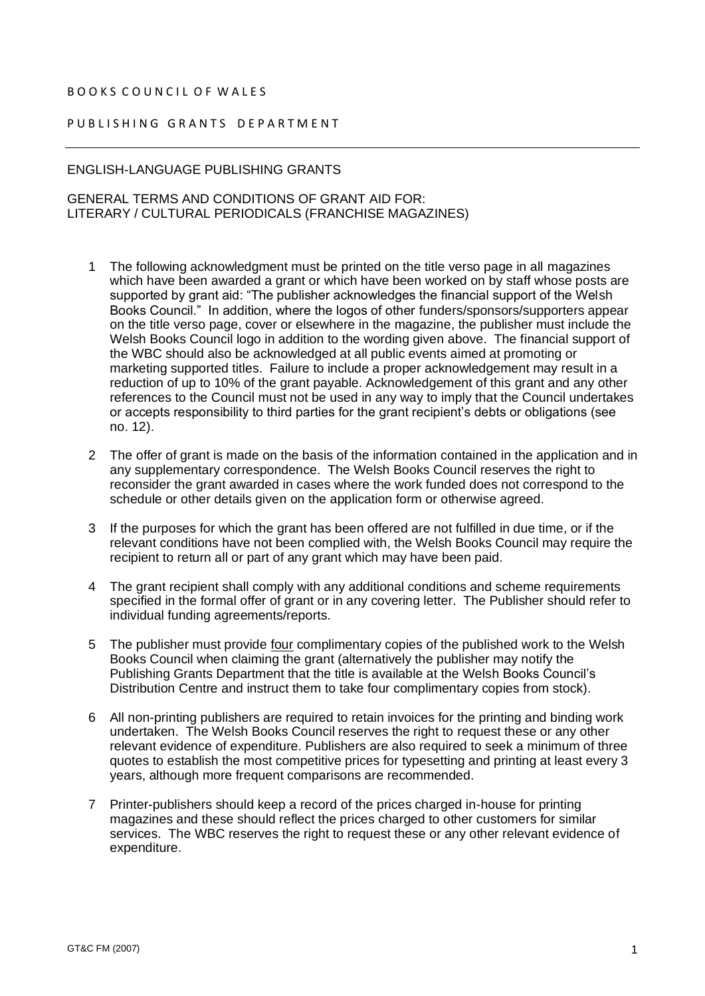## B O O K S C O U N C I L O F W A L E S

## PUBLISHING GRANTS DEPARTMENT

## ENGLISH-LANGUAGE PUBLISHING GRANTS

## GENERAL TERMS AND CONDITIONS OF GRANT AID FOR: LITERARY / CULTURAL PERIODICALS (FRANCHISE MAGAZINES)

- 1 The following acknowledgment must be printed on the title verso page in all magazines which have been awarded a grant or which have been worked on by staff whose posts are supported by grant aid: "The publisher acknowledges the financial support of the Welsh Books Council." In addition, where the logos of other funders/sponsors/supporters appear on the title verso page, cover or elsewhere in the magazine, the publisher must include the Welsh Books Council logo in addition to the wording given above. The financial support of the WBC should also be acknowledged at all public events aimed at promoting or marketing supported titles. Failure to include a proper acknowledgement may result in a reduction of up to 10% of the grant payable. Acknowledgement of this grant and any other references to the Council must not be used in any way to imply that the Council undertakes or accepts responsibility to third parties for the grant recipient's debts or obligations (see no. 12).
- 2 The offer of grant is made on the basis of the information contained in the application and in any supplementary correspondence. The Welsh Books Council reserves the right to reconsider the grant awarded in cases where the work funded does not correspond to the schedule or other details given on the application form or otherwise agreed.
- 3 If the purposes for which the grant has been offered are not fulfilled in due time, or if the relevant conditions have not been complied with, the Welsh Books Council may require the recipient to return all or part of any grant which may have been paid.
- 4 The grant recipient shall comply with any additional conditions and scheme requirements specified in the formal offer of grant or in any covering letter. The Publisher should refer to individual funding agreements/reports.
- 5 The publisher must provide four complimentary copies of the published work to the Welsh Books Council when claiming the grant (alternatively the publisher may notify the Publishing Grants Department that the title is available at the Welsh Books Council's Distribution Centre and instruct them to take four complimentary copies from stock).
- 6 All non-printing publishers are required to retain invoices for the printing and binding work undertaken. The Welsh Books Council reserves the right to request these or any other relevant evidence of expenditure. Publishers are also required to seek a minimum of three quotes to establish the most competitive prices for typesetting and printing at least every 3 years, although more frequent comparisons are recommended.
- 7 Printer-publishers should keep a record of the prices charged in-house for printing magazines and these should reflect the prices charged to other customers for similar services. The WBC reserves the right to request these or any other relevant evidence of expenditure.